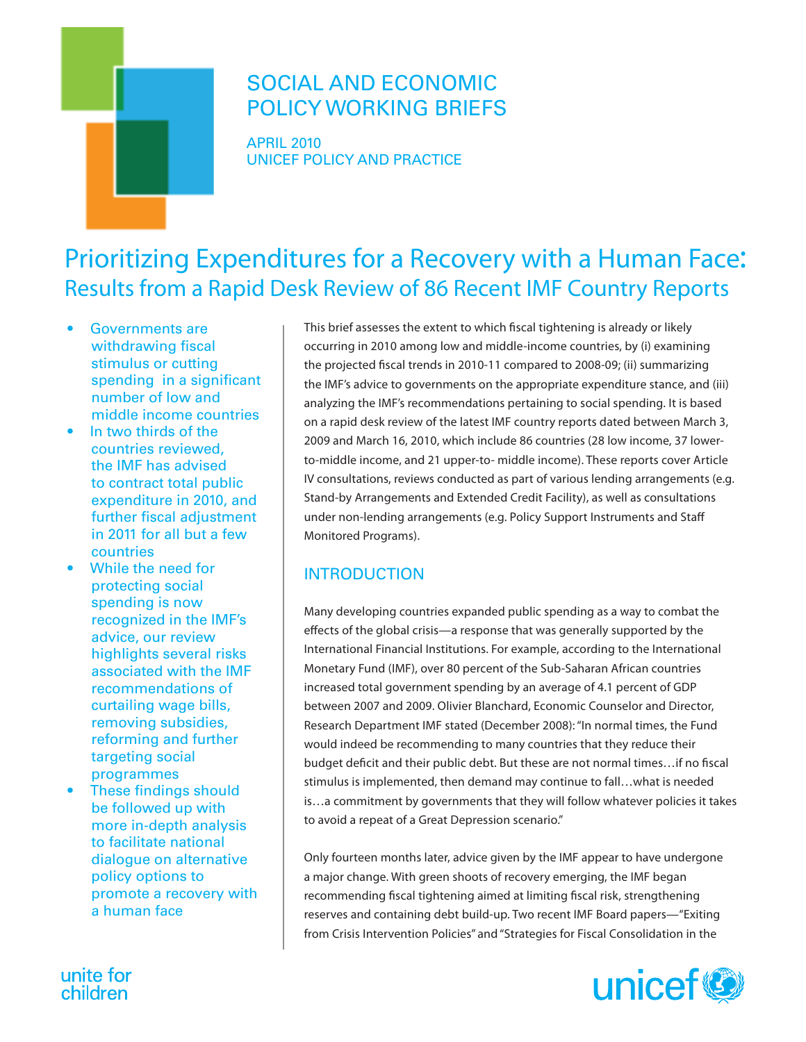# SOCIAL AND ECONOMIC POLICY WORKING BRIEFS

APRIL 2010 UNICEF POLICY AND PRACTICE

# Prioritizing Expenditures for a Recovery with a Human Face: Results from a Rapid Desk Review of 86 Recent IMF Country Reports

- Governments are withdrawing fiscal stimulus or cutting spending in a significant number of low and middle income countries
- In two thirds of the countries reviewed, the IMF has advised to contract total public expenditure in 2010, and further fiscal adjustment in 2011 for all but a few countries
- While the need for protecting social spending is now recognized in the IMF's advice, our review highlights several risks associated with the IMF recommendations of curtailing wage bills, removing subsidies, reforming and further targeting social programmes
- These findings should be followed up with more in-depth analysis to facilitate national dialogue on alternative policy options to promote a recovery with a human face

unite for

children

This brief assesses the extent to which fiscal tightening is already or likely occurring in 2010 among low and middle-income countries, by (i) examining the projected fiscal trends in 2010-11 compared to 2008-09; (ii) summarizing the IMF's advice to governments on the appropriate expenditure stance, and (iii) analyzing the IMF's recommendations pertaining to social spending. It is based on a rapid desk review of the latest IMF country reports dated between March 3, 2009 and March 16, 2010, which include 86 countries (28 low income, 37 lowerto-middle income, and 21 upper-to- middle income). These reports cover Article IV consultations, reviews conducted as part of various lending arrangements (e.g. Stand-by Arrangements and Extended Credit Facility), as well as consultations under non-lending arrangements (e.g. Policy Support Instruments and Staff Monitored Programs).

# **INTRODUCTION**

Many developing countries expanded public spending as a way to combat the effects of the global crisis—a response that was generally supported by the International Financial Institutions. For example, according to the International Monetary Fund (IMF), over 80 percent of the Sub-Saharan African countries increased total government spending by an average of 4.1 percent of GDP between 2007 and 2009. Olivier Blanchard, Economic Counselor and Director, Research Department IMF stated (December 2008): "In normal times, the Fund would indeed be recommending to many countries that they reduce their budget deficit and their public debt. But these are not normal times…if no fiscal stimulus is implemented, then demand may continue to fall…what is needed is…a commitment by governments that they will follow whatever policies it takes to avoid a repeat of a Great Depression scenario."

Only fourteen months later, advice given by the IMF appear to have undergone a major change. With green shoots of recovery emerging, the IMF began recommending fiscal tightening aimed at limiting fiscal risk, strengthening reserves and containing debt build-up. Two recent IMF Board papers—"Exiting from Crisis Intervention Policies" and "Strategies for Fiscal Consolidation in the

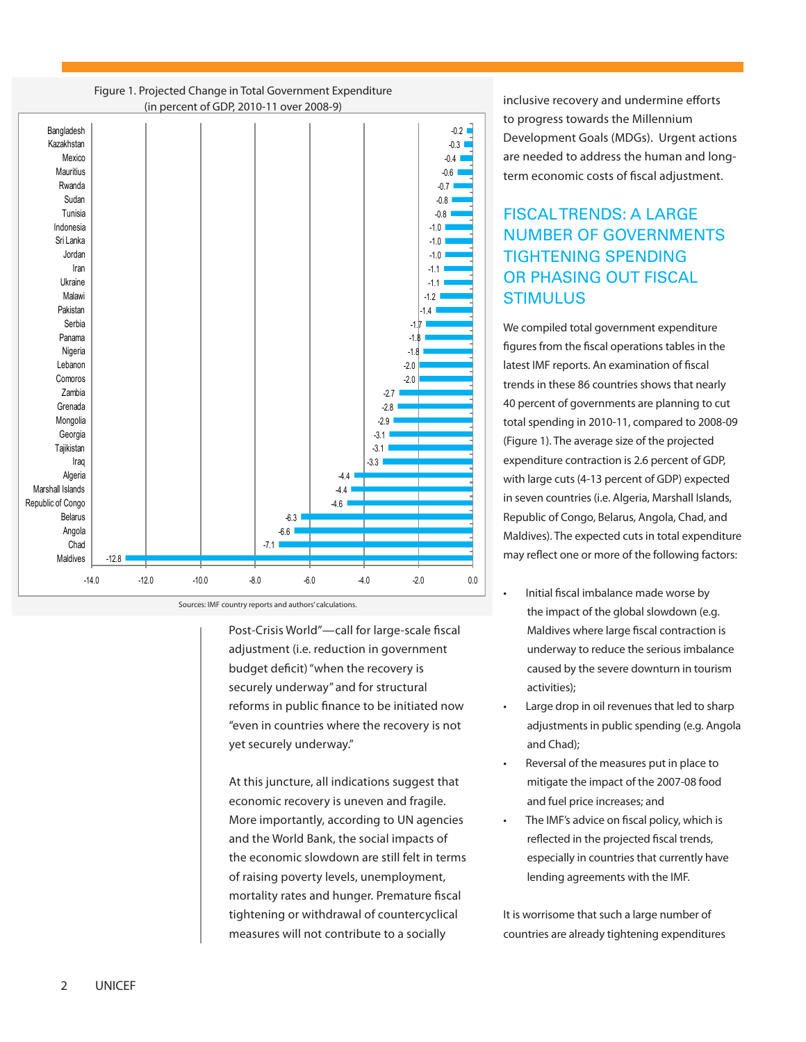

Figure 1. Projected Change in Total Government Expenditure (in percent of GDP, 2010-11 over 2008-9)

Sources: IMF country reports and authors' calculations.

Post-Crisis World"—call for large-scale fiscal adjustment (i.e. reduction in government budget deficit) "when the recovery is securely underway" and for structural reforms in public finance to be initiated now "even in countries where the recovery is not yet securely underway."

At this juncture, all indications suggest that economic recovery is uneven and fragile. More importantly, according to UN agencies and the World Bank, the social impacts of the economic slowdown are still felt in terms of raising poverty levels, unemployment, mortality rates and hunger. Premature fiscal tightening or withdrawal of countercyclical measures will not contribute to a socially

inclusive recovery and undermine efforts to progress towards the Millennium Development Goals (MDGs). Urgent actions are needed to address the human and longterm economic costs of fiscal adjustment.

## Fiscal trends: A large number of governments tightening spending or phasing out fiscal **STIMULUS**

We compiled total government expenditure figures from the fiscal operations tables in the latest IMF reports. An examination of fiscal trends in these 86 countries shows that nearly 40 percent of governments are planning to cut total spending in 2010-11, compared to 2008-09 (Figure 1). The average size of the projected expenditure contraction is 2.6 percent of GDP, with large cuts (4-13 percent of GDP) expected in seven countries (i.e. Algeria, Marshall Islands, Republic of Congo, Belarus, Angola, Chad, and Maldives). The expected cuts in total expenditure may reflect one or more of the following factors:

- Initial fiscal imbalance made worse by the impact of the global slowdown (e.g. Maldives where large fiscal contraction is underway to reduce the serious imbalance caused by the severe downturn in tourism activities);
- Large drop in oil revenues that led to sharp adjustments in public spending (e.g. Angola and Chad);
- Reversal of the measures put in place to mitigate the impact of the 2007-08 food and fuel price increases; and
- The IMF's advice on fiscal policy, which is reflected in the projected fiscal trends, especially in countries that currently have lending agreements with the IMF.

It is worrisome that such a large number of countries are already tightening expenditures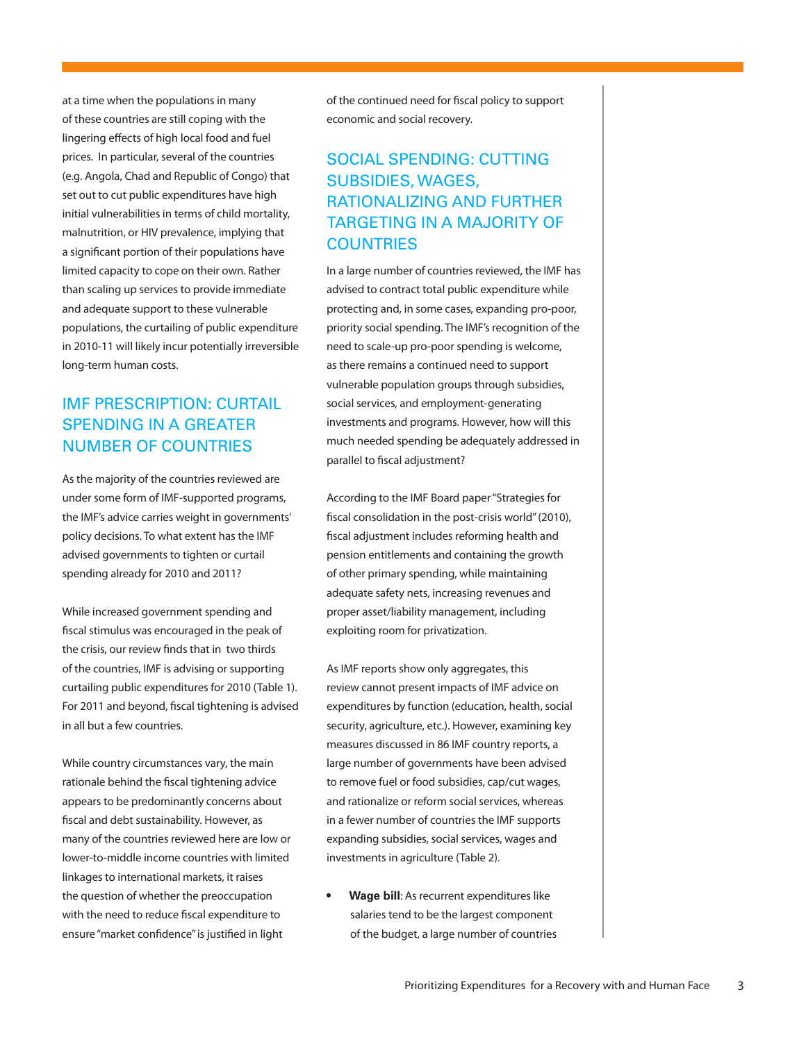at a time when the populations in many of these countries are still coping with the lingering effects of high local food and fuel prices. In particular, several of the countries (e.g. Angola, Chad and Republic of Congo) that set out to cut public expenditures have high initial vulnerabilities in terms of child mortality, malnutrition, or HIV prevalence, implying that a significant portion of their populations have limited capacity to cope on their own. Rather than scaling up services to provide immediate and adequate support to these vulnerable populations, the curtailing of public expenditure in 2010-11 will likely incur potentially irreversible long-term human costs.

## IMF Prescription: CurtaiL spending in a greater number of countries

As the majority of the countries reviewed are under some form of IMF-supported programs, the IMF's advice carries weight in governments' policy decisions. To what extent has the IMF advised governments to tighten or curtail spending already for 2010 and 2011?

While increased government spending and fiscal stimulus was encouraged in the peak of the crisis, our review finds that in two thirds of the countries, IMF is advising or supporting curtailing public expenditures for 2010 (Table 1). For 2011 and beyond, fiscal tightening is advised in all but a few countries.

While country circumstances vary, the main rationale behind the fiscal tightening advice appears to be predominantly concerns about fiscal and debt sustainability. However, as many of the countries reviewed here are low or lower-to-middle income countries with limited linkages to international markets, it raises the question of whether the preoccupation with the need to reduce fiscal expenditure to ensure "market confidence" is justified in light

of the continued need for fiscal policy to support economic and social recovery.

## SOCIAL SPENDING: CUTTING subsidies, wages, rationalizing and further targeting in a majority of **COUNTRIES**

In a large number of countries reviewed, the IMF has advised to contract total public expenditure while protecting and, in some cases, expanding pro-poor, priority social spending. The IMF's recognition of the need to scale-up pro-poor spending is welcome, as there remains a continued need to support vulnerable population groups through subsidies, social services, and employment-generating investments and programs. However, how will this much needed spending be adequately addressed in parallel to fiscal adjustment?

According to the IMF Board paper "Strategies for fiscal consolidation in the post-crisis world" (2010), fiscal adjustment includes reforming health and pension entitlements and containing the growth of other primary spending, while maintaining adequate safety nets, increasing revenues and proper asset/liability management, including exploiting room for privatization.

As IMF reports show only aggregates, this review cannot present impacts of IMF advice on expenditures by function (education, health, social security, agriculture, etc.). However, examining key measures discussed in 86 IMF country reports, a large number of governments have been advised to remove fuel or food subsidies, cap/cut wages, and rationalize or reform social services, whereas in a fewer number of countries the IMF supports expanding subsidies, social services, wages and investments in agriculture (Table 2).

**Wage bill:** As recurrent expenditures like salaries tend to be the largest component of the budget, a large number of countries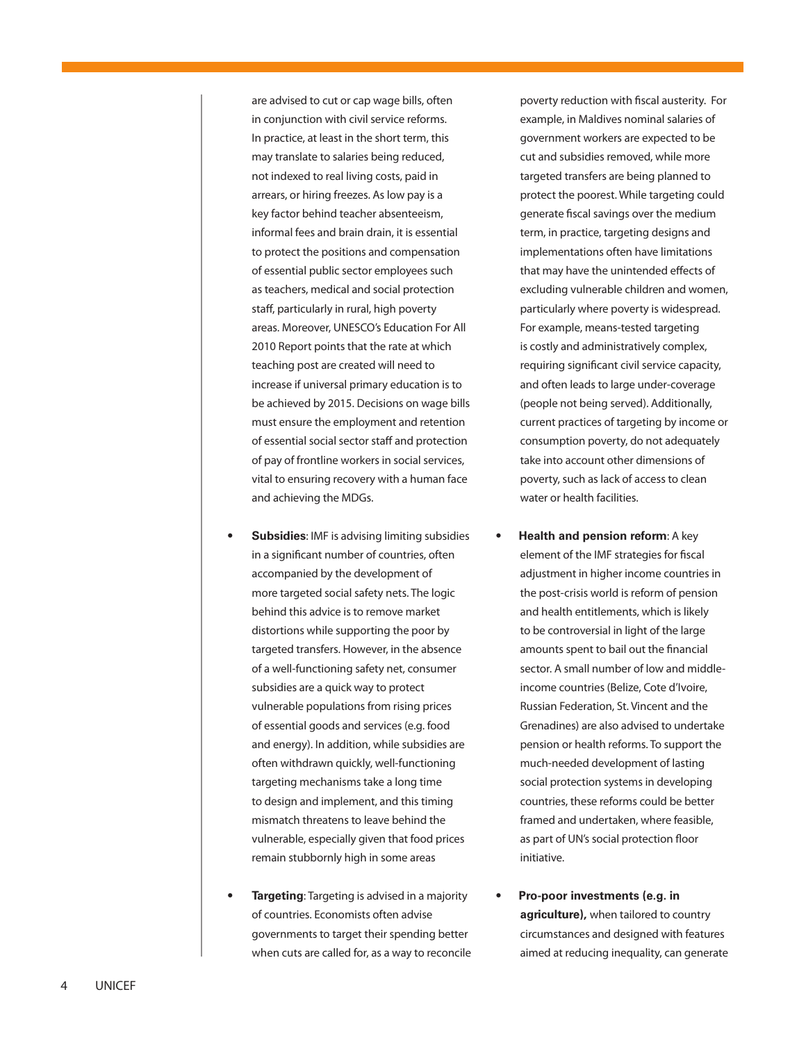are advised to cut or cap wage bills, often in conjunction with civil service reforms. In practice, at least in the short term, this may translate to salaries being reduced, not indexed to real living costs, paid in arrears, or hiring freezes. As low pay is a key factor behind teacher absenteeism, informal fees and brain drain, it is essential to protect the positions and compensation of essential public sector employees such as teachers, medical and social protection staff, particularly in rural, high poverty areas. Moreover, UNESCO's Education For All 2010 Report points that the rate at which teaching post are created will need to increase if universal primary education is to be achieved by 2015. Decisions on wage bills must ensure the employment and retention of essential social sector staff and protection of pay of frontline workers in social services, vital to ensuring recovery with a human face and achieving the MDGs.

- **Subsidies:** IMF is advising limiting subsidies in a significant number of countries, often accompanied by the development of more targeted social safety nets. The logic behind this advice is to remove market distortions while supporting the poor by targeted transfers. However, in the absence of a well-functioning safety net, consumer subsidies are a quick way to protect vulnerable populations from rising prices of essential goods and services (e.g. food and energy). In addition, while subsidies are often withdrawn quickly, well-functioning targeting mechanisms take a long time to design and implement, and this timing mismatch threatens to leave behind the vulnerable, especially given that food prices remain stubbornly high in some areas
- **Targeting**: Targeting is advised in a majority of countries. Economists often advise governments to target their spending better when cuts are called for, as a way to reconcile

poverty reduction with fiscal austerity. For example, in Maldives nominal salaries of government workers are expected to be cut and subsidies removed, while more targeted transfers are being planned to protect the poorest. While targeting could generate fiscal savings over the medium term, in practice, targeting designs and implementations often have limitations that may have the unintended effects of excluding vulnerable children and women, particularly where poverty is widespread. For example, means-tested targeting is costly and administratively complex, requiring significant civil service capacity, and often leads to large under-coverage (people not being served). Additionally, current practices of targeting by income or consumption poverty, do not adequately take into account other dimensions of poverty, such as lack of access to clean water or health facilities.

- **Health and pension reform: A key** element of the IMF strategies for fiscal adjustment in higher income countries in the post-crisis world is reform of pension and health entitlements, which is likely to be controversial in light of the large amounts spent to bail out the financial sector. A small number of low and middleincome countries (Belize, Cote d'Ivoire, Russian Federation, St. Vincent and the Grenadines) are also advised to undertake pension or health reforms. To support the much-needed development of lasting social protection systems in developing countries, these reforms could be better framed and undertaken, where feasible, as part of UN's social protection floor initiative.
- **Pro-poor investments (e.g. in agriculture),** when tailored to country circumstances and designed with features aimed at reducing inequality, can generate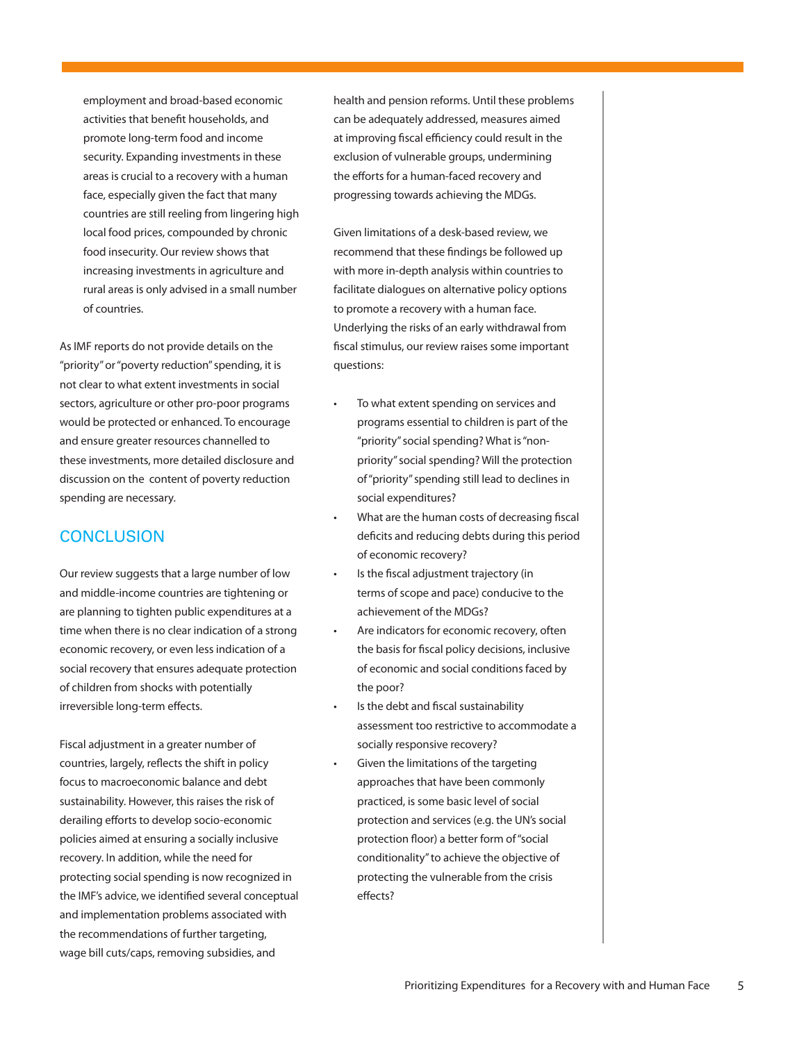employment and broad-based economic activities that benefit households, and promote long-term food and income security. Expanding investments in these areas is crucial to a recovery with a human face, especially given the fact that many countries are still reeling from lingering high local food prices, compounded by chronic food insecurity. Our review shows that increasing investments in agriculture and rural areas is only advised in a small number of countries.

As IMF reports do not provide details on the "priority" or "poverty reduction" spending, it is not clear to what extent investments in social sectors, agriculture or other pro-poor programs would be protected or enhanced. To encourage and ensure greater resources channelled to these investments, more detailed disclosure and discussion on the content of poverty reduction spending are necessary.

#### **CONCLUSION**

Our review suggests that a large number of low and middle-income countries are tightening or are planning to tighten public expenditures at a time when there is no clear indication of a strong economic recovery, or even less indication of a social recovery that ensures adequate protection of children from shocks with potentially irreversible long-term effects.

Fiscal adjustment in a greater number of countries, largely, reflects the shift in policy focus to macroeconomic balance and debt sustainability. However, this raises the risk of derailing efforts to develop socio-economic policies aimed at ensuring a socially inclusive recovery. In addition, while the need for protecting social spending is now recognized in the IMF's advice, we identified several conceptual and implementation problems associated with the recommendations of further targeting, wage bill cuts/caps, removing subsidies, and

health and pension reforms. Until these problems can be adequately addressed, measures aimed at improving fiscal efficiency could result in the exclusion of vulnerable groups, undermining the efforts for a human-faced recovery and progressing towards achieving the MDGs.

Given limitations of a desk-based review, we recommend that these findings be followed up with more in-depth analysis within countries to facilitate dialogues on alternative policy options to promote a recovery with a human face. Underlying the risks of an early withdrawal from fiscal stimulus, our review raises some important questions:

- To what extent spending on services and programs essential to children is part of the "priority" social spending? What is "nonpriority" social spending? Will the protection of "priority" spending still lead to declines in social expenditures?
- What are the human costs of decreasing fiscal deficits and reducing debts during this period of economic recovery?
- Is the fiscal adjustment trajectory (in terms of scope and pace) conducive to the achievement of the MDGs?
- Are indicators for economic recovery, often the basis for fiscal policy decisions, inclusive of economic and social conditions faced by the poor?
- Is the debt and fiscal sustainability assessment too restrictive to accommodate a socially responsive recovery?
- Given the limitations of the targeting approaches that have been commonly practiced, is some basic level of social protection and services (e.g. the UN's social protection floor) a better form of "social conditionality" to achieve the objective of protecting the vulnerable from the crisis effects?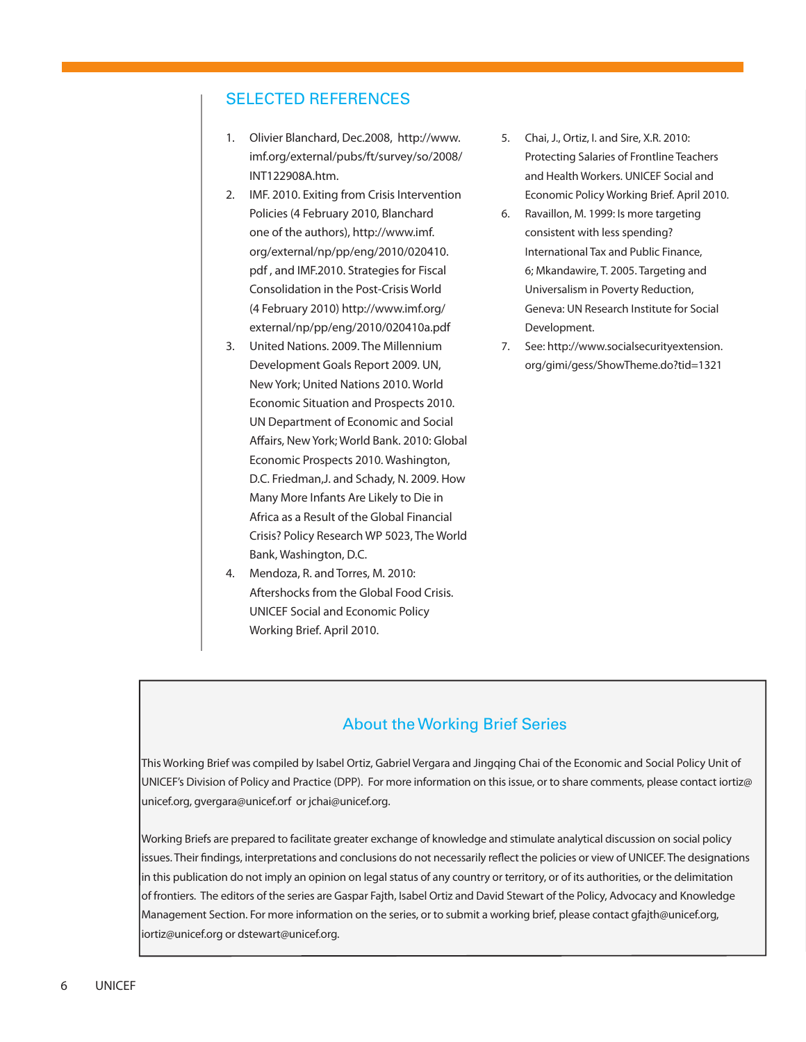#### Selected References

- 1. Olivier Blanchard, Dec.2008, http://www. imf.org/external/pubs/ft/survey/so/2008/ INT122908A.htm.
- 2. IMF. 2010. Exiting from Crisis Intervention Policies (4 February 2010, Blanchard one of the authors), http://www.imf. org/external/np/pp/eng/2010/020410. pdf , and IMF.2010. Strategies for Fiscal Consolidation in the Post-Crisis World (4 February 2010) http://www.imf.org/ external/np/pp/eng/2010/020410a.pdf
- 3. United Nations. 2009. The Millennium Development Goals Report 2009. UN, New York; United Nations 2010. World Economic Situation and Prospects 2010. UN Department of Economic and Social Affairs, New York; World Bank. 2010: Global Economic Prospects 2010. Washington, D.C. Friedman,J. and Schady, N. 2009. How Many More Infants Are Likely to Die in Africa as a Result of the Global Financial Crisis? Policy Research WP 5023, The World Bank, Washington, D.C.
- 4. Mendoza, R. and Torres, M. 2010: Aftershocks from the Global Food Crisis. UNICEF Social and Economic Policy Working Brief. April 2010.
- 5. Chai, J., Ortiz, I. and Sire, X.R. 2010: Protecting Salaries of Frontline Teachers and Health Workers. UNICEF Social and Economic Policy Working Brief. April 2010.
- 6. Ravaillon, M. 1999: Is more targeting consistent with less spending? International Tax and Public Finance, 6; Mkandawire, T. 2005. Targeting and Universalism in Poverty Reduction, Geneva: UN Research Institute for Social Development.
- 7. See: http://www.socialsecurityextension. org/gimi/gess/ShowTheme.do?tid=1321

### About the Working Brief Series

This Working Brief was compiled by Isabel Ortiz, Gabriel Vergara and Jingqing Chai of the Economic and Social Policy Unit of UNICEF's Division of Policy and Practice (DPP). For more information on this issue, or to share comments, please contact iortiz@ unicef.org, gvergara@unicef.orf or jchai@unicef.org.

Working Briefs are prepared to facilitate greater exchange of knowledge and stimulate analytical discussion on social policy issues. Their findings, interpretations and conclusions do not necessarily reflect the policies or view of UNICEF. The designations in this publication do not imply an opinion on legal status of any country or territory, or of its authorities, or the delimitation of frontiers. The editors of the series are Gaspar Fajth, Isabel Ortiz and David Stewart of the Policy, Advocacy and Knowledge Management Section. For more information on the series, or to submit a working brief, please contact gfajth@unicef.org, iortiz@unicef.org or dstewart@unicef.org.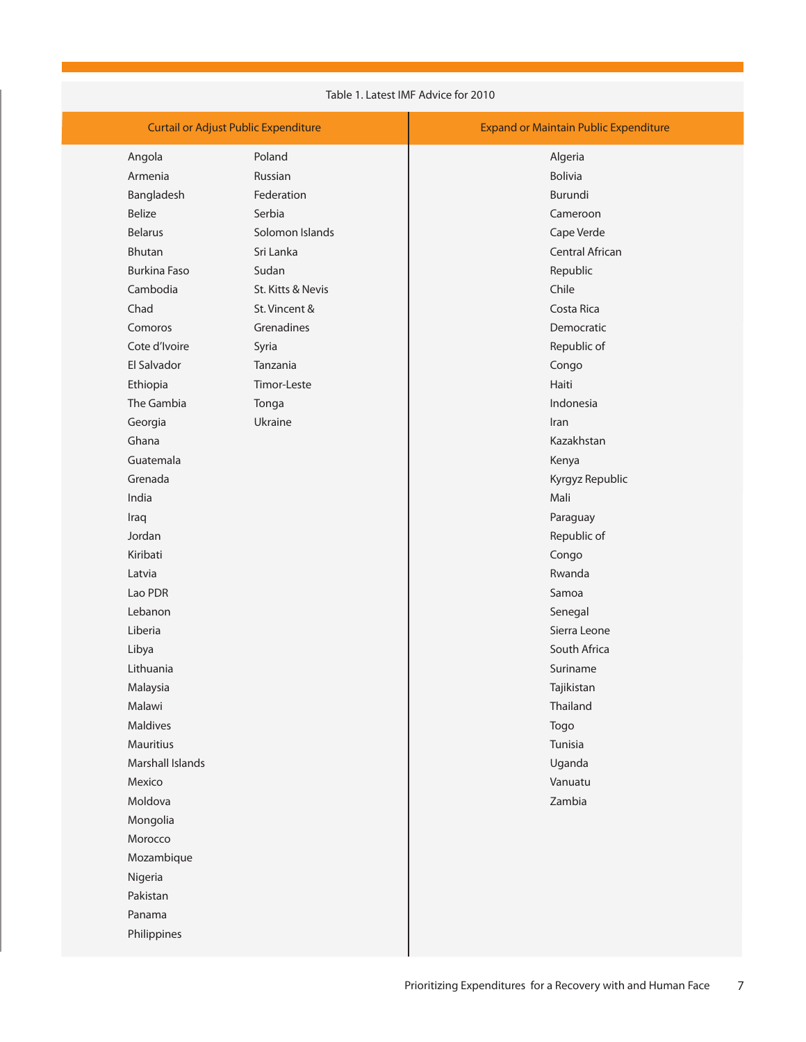| Table 1. Latest IMF Advice for 2010         |                   |                                              |  |  |
|---------------------------------------------|-------------------|----------------------------------------------|--|--|
| <b>Curtail or Adjust Public Expenditure</b> |                   | <b>Expand or Maintain Public Expenditure</b> |  |  |
| Angola                                      | Poland            | Algeria                                      |  |  |
| Armenia                                     | Russian           | <b>Bolivia</b>                               |  |  |
| Bangladesh                                  | Federation        | Burundi                                      |  |  |
| <b>Belize</b>                               | Serbia            | Cameroon                                     |  |  |
| <b>Belarus</b>                              | Solomon Islands   | Cape Verde                                   |  |  |
| <b>Bhutan</b>                               | Sri Lanka         | Central African                              |  |  |
| <b>Burkina Faso</b>                         | Sudan             | Republic                                     |  |  |
| Cambodia                                    | St. Kitts & Nevis | Chile                                        |  |  |
| Chad                                        | St. Vincent &     | Costa Rica                                   |  |  |
| Comoros                                     | Grenadines        | Democratic                                   |  |  |
| Cote d'Ivoire                               | Syria             | Republic of                                  |  |  |
| El Salvador                                 | Tanzania          | Congo                                        |  |  |
| Ethiopia                                    | Timor-Leste       | Haiti                                        |  |  |
| The Gambia                                  | Tonga             | Indonesia                                    |  |  |
| Georgia                                     | Ukraine           | Iran                                         |  |  |
| Ghana                                       |                   | Kazakhstan                                   |  |  |
| Guatemala                                   |                   | Kenya                                        |  |  |
| Grenada                                     |                   | Kyrgyz Republic                              |  |  |
| India                                       |                   | Mali                                         |  |  |
| Iraq                                        |                   | Paraguay                                     |  |  |
| Jordan                                      |                   | Republic of                                  |  |  |
| Kiribati                                    |                   | Congo                                        |  |  |
| Latvia                                      |                   | Rwanda                                       |  |  |
| Lao PDR                                     |                   | Samoa                                        |  |  |
| Lebanon                                     |                   | Senegal                                      |  |  |
| Liberia                                     |                   | Sierra Leone                                 |  |  |
| Libya                                       |                   | South Africa                                 |  |  |
| Lithuania                                   |                   | Suriname                                     |  |  |
| Malaysia                                    |                   | Tajikistan                                   |  |  |
| Malawi                                      |                   | Thailand                                     |  |  |
| Maldives                                    |                   | Togo                                         |  |  |
| Mauritius                                   |                   | Tunisia                                      |  |  |
| Marshall Islands                            |                   | Uganda                                       |  |  |
| Mexico                                      |                   | Vanuatu                                      |  |  |
| Moldova                                     |                   | Zambia                                       |  |  |
| Mongolia                                    |                   |                                              |  |  |
| Morocco                                     |                   |                                              |  |  |
| Mozambique                                  |                   |                                              |  |  |
| Nigeria                                     |                   |                                              |  |  |
| Pakistan                                    |                   |                                              |  |  |
| Panama                                      |                   |                                              |  |  |
| Philippines                                 |                   |                                              |  |  |